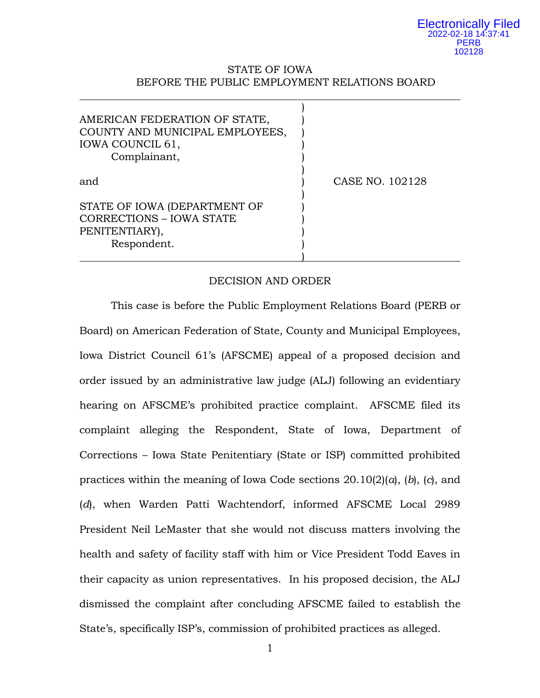## STATE OF IOWA BEFORE THE PUBLIC EMPLOYMENT RELATIONS BOARD

| AMERICAN FEDERATION OF STATE,<br>COUNTY AND MUNICIPAL EMPLOYEES,<br>IOWA COUNCIL 61,<br>Complainant, |                 |
|------------------------------------------------------------------------------------------------------|-----------------|
| and                                                                                                  | CASE NO. 102128 |
| STATE OF IOWA (DEPARTMENT OF<br><b>CORRECTIONS - IOWA STATE</b><br>PENITENTIARY),<br>Respondent.     |                 |

### DECISION AND ORDER

This case is before the Public Employment Relations Board (PERB or Board) on American Federation of State, County and Municipal Employees, Iowa District Council 61's (AFSCME) appeal of a proposed decision and order issued by an administrative law judge (ALJ) following an evidentiary hearing on AFSCME's prohibited practice complaint. AFSCME filed its complaint alleging the Respondent, State of Iowa, Department of Corrections – Iowa State Penitentiary (State or ISP) committed prohibited practices within the meaning of Iowa Code sections 20.10(2)(*a*), (*b*), (*c*), and (*d*), when Warden Patti Wachtendorf, informed AFSCME Local 2989 President Neil LeMaster that she would not discuss matters involving the health and safety of facility staff with him or Vice President Todd Eaves in their capacity as union representatives. In his proposed decision, the ALJ dismissed the complaint after concluding AFSCME failed to establish the State's, specifically ISP's, commission of prohibited practices as alleged.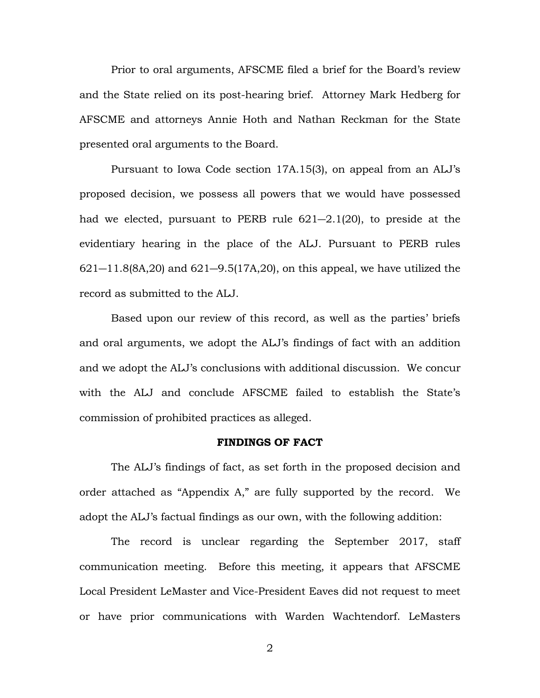Prior to oral arguments, AFSCME filed a brief for the Board's review and the State relied on its post-hearing brief. Attorney Mark Hedberg for AFSCME and attorneys Annie Hoth and Nathan Reckman for the State presented oral arguments to the Board.

Pursuant to Iowa Code section 17A.15(3), on appeal from an ALJ's proposed decision, we possess all powers that we would have possessed had we elected, pursuant to PERB rule  $621-2.1(20)$ , to preside at the evidentiary hearing in the place of the ALJ. Pursuant to PERB rules  $621-11.8(8A, 20)$  and  $621-9.5(17A, 20)$ , on this appeal, we have utilized the record as submitted to the ALJ.

Based upon our review of this record, as well as the parties' briefs and oral arguments, we adopt the ALJ's findings of fact with an addition and we adopt the ALJ's conclusions with additional discussion. We concur with the ALJ and conclude AFSCME failed to establish the State's commission of prohibited practices as alleged.

### **FINDINGS OF FACT**

The ALJ's findings of fact, as set forth in the proposed decision and order attached as "Appendix A," are fully supported by the record. We adopt the ALJ's factual findings as our own, with the following addition:

The record is unclear regarding the September 2017, staff communication meeting. Before this meeting, it appears that AFSCME Local President LeMaster and Vice-President Eaves did not request to meet or have prior communications with Warden Wachtendorf. LeMasters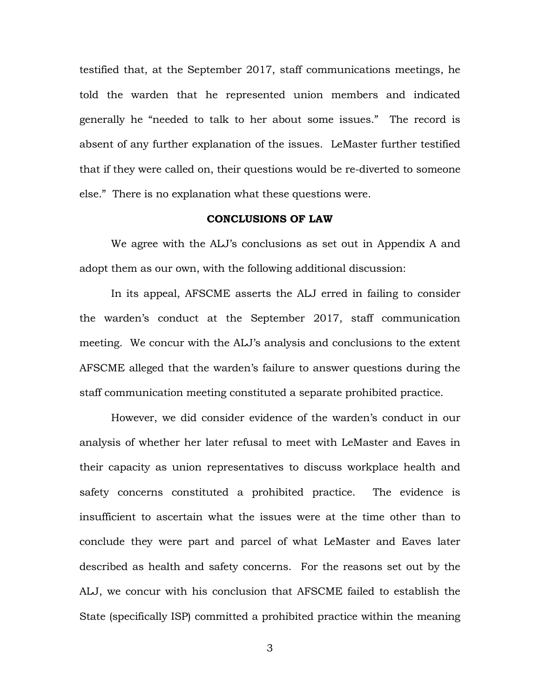testified that, at the September 2017, staff communications meetings, he told the warden that he represented union members and indicated generally he "needed to talk to her about some issues." The record is absent of any further explanation of the issues. LeMaster further testified that if they were called on, their questions would be re-diverted to someone else." There is no explanation what these questions were.

## **CONCLUSIONS OF LAW**

We agree with the ALJ's conclusions as set out in Appendix A and adopt them as our own, with the following additional discussion:

In its appeal, AFSCME asserts the ALJ erred in failing to consider the warden's conduct at the September 2017, staff communication meeting. We concur with the ALJ's analysis and conclusions to the extent AFSCME alleged that the warden's failure to answer questions during the staff communication meeting constituted a separate prohibited practice.

However, we did consider evidence of the warden's conduct in our analysis of whether her later refusal to meet with LeMaster and Eaves in their capacity as union representatives to discuss workplace health and safety concerns constituted a prohibited practice. The evidence is insufficient to ascertain what the issues were at the time other than to conclude they were part and parcel of what LeMaster and Eaves later described as health and safety concerns. For the reasons set out by the ALJ, we concur with his conclusion that AFSCME failed to establish the State (specifically ISP) committed a prohibited practice within the meaning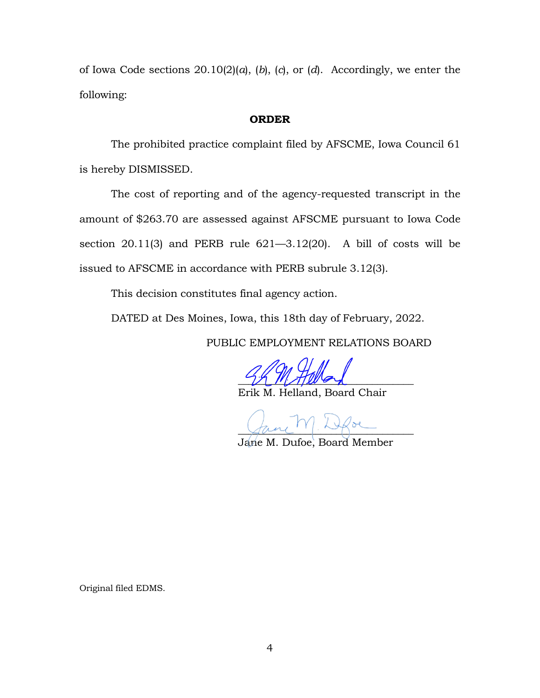of Iowa Code sections 20.10(2)(*a*), (*b*), (*c*), or (*d*). Accordingly, we enter the following:

### **ORDER**

The prohibited practice complaint filed by AFSCME, Iowa Council 61 is hereby DISMISSED.

The cost of reporting and of the agency-requested transcript in the amount of \$263.70 are assessed against AFSCME pursuant to Iowa Code section 20.11(3) and PERB rule 621—3.12(20). A bill of costs will be issued to AFSCME in accordance with PERB subrule 3.12(3).

This decision constitutes final agency action.

DATED at Des Moines, Iowa, this 18th day of February, 2022.

PUBLIC EMPLOYMENT RELATIONS BOARD

 $72$  M HW and

Erik M. Helland, Board Chair

 $\sqrt{2}$ 

Jane M. Dufoe, Board Member

Original filed EDMS.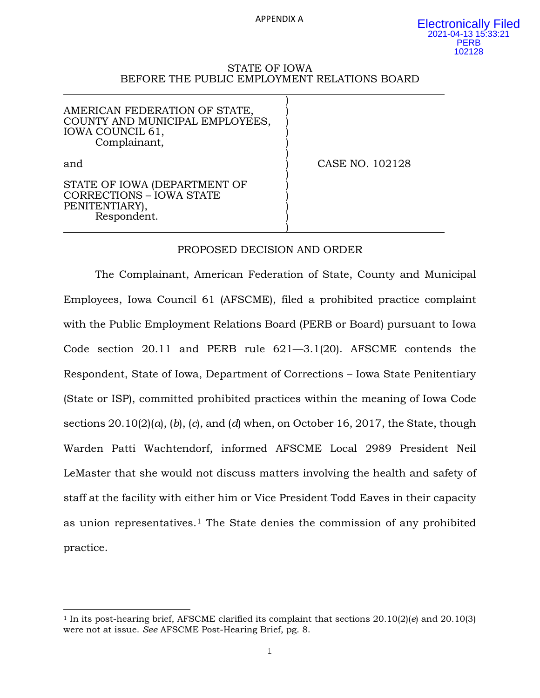APPENDIX A

### STATE OF IOWA BEFORE THE PUBLIC EMPLOYMENT RELATIONS BOARD

| AMERICAN FEDERATION OF STATE,<br>COUNTY AND MUNICIPAL EMPLOYEES,<br>IOWA COUNCIL 61,<br>Complainant, |                 |
|------------------------------------------------------------------------------------------------------|-----------------|
| and                                                                                                  | CASE NO. 102128 |
| STATE OF IOWA (DEPARTMENT OF<br>CORRECTIONS - IOWA STATE<br>PENITENTIARY),<br>Respondent.            |                 |

# PROPOSED DECISION AND ORDER

The Complainant, American Federation of State, County and Municipal Employees, Iowa Council 61 (AFSCME), filed a prohibited practice complaint with the Public Employment Relations Board (PERB or Board) pursuant to Iowa Code section 20.11 and PERB rule 621—3.1(20). AFSCME contends the Respondent, State of Iowa, Department of Corrections – Iowa State Penitentiary (State or ISP), committed prohibited practices within the meaning of Iowa Code sections 20.10(2)(*a*), (*b*), (*c*), and (*d*) when, on October 16, 2017, the State, though Warden Patti Wachtendorf, informed AFSCME Local 2989 President Neil LeMaster that she would not discuss matters involving the health and safety of staff at the facility with either him or Vice President Todd Eaves in their capacity as union representatives.[1](#page-4-0) The State denies the commission of any prohibited practice.

<span id="page-4-0"></span>ł <sup>1</sup> In its post-hearing brief, AFSCME clarified its complaint that sections 20.10(2)(*e*) and 20.10(3) were not at issue. *See* AFSCME Post-Hearing Brief, pg. 8.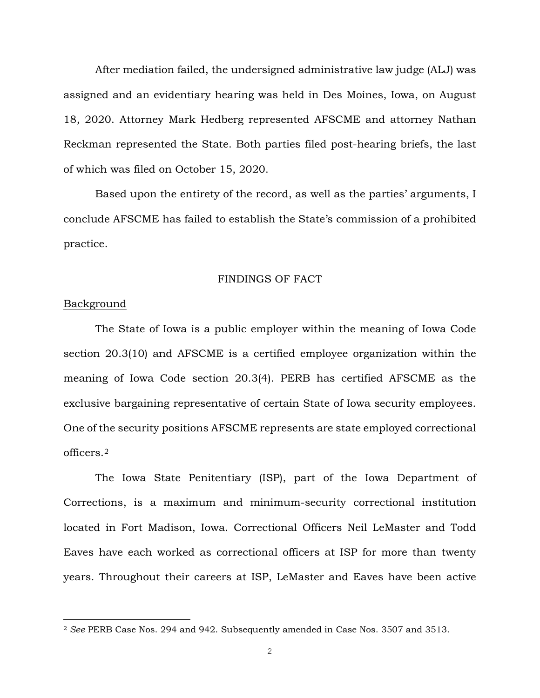After mediation failed, the undersigned administrative law judge (ALJ) was assigned and an evidentiary hearing was held in Des Moines, Iowa, on August 18, 2020. Attorney Mark Hedberg represented AFSCME and attorney Nathan Reckman represented the State. Both parties filed post-hearing briefs, the last of which was filed on October 15, 2020.

Based upon the entirety of the record, as well as the parties' arguments, I conclude AFSCME has failed to establish the State's commission of a prohibited practice.

### FINDINGS OF FACT

## Background

Ĩ

The State of Iowa is a public employer within the meaning of Iowa Code section 20.3(10) and AFSCME is a certified employee organization within the meaning of Iowa Code section 20.3(4). PERB has certified AFSCME as the exclusive bargaining representative of certain State of Iowa security employees. One of the security positions AFSCME represents are state employed correctional officers.[2](#page-5-0)

The Iowa State Penitentiary (ISP), part of the Iowa Department of Corrections, is a maximum and minimum-security correctional institution located in Fort Madison, Iowa. Correctional Officers Neil LeMaster and Todd Eaves have each worked as correctional officers at ISP for more than twenty years. Throughout their careers at ISP, LeMaster and Eaves have been active

<span id="page-5-0"></span><sup>2</sup> *See* PERB Case Nos. 294 and 942. Subsequently amended in Case Nos. 3507 and 3513.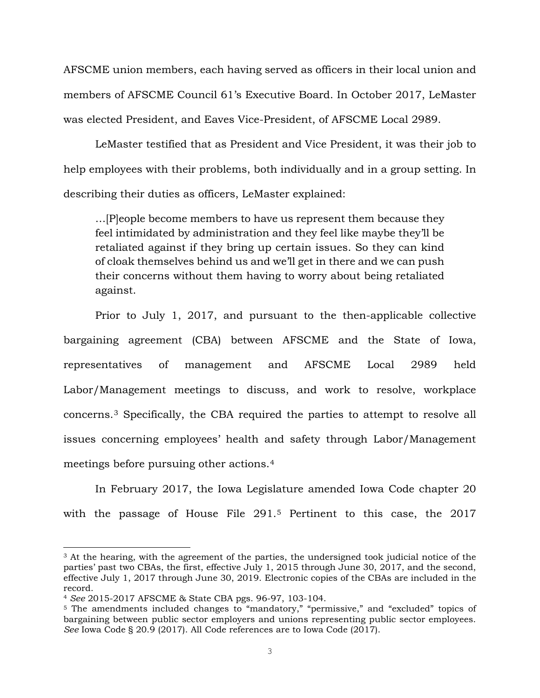AFSCME union members, each having served as officers in their local union and members of AFSCME Council 61's Executive Board. In October 2017, LeMaster was elected President, and Eaves Vice-President, of AFSCME Local 2989.

LeMaster testified that as President and Vice President, it was their job to help employees with their problems, both individually and in a group setting. In describing their duties as officers, LeMaster explained:

…[P]eople become members to have us represent them because they feel intimidated by administration and they feel like maybe they'll be retaliated against if they bring up certain issues. So they can kind of cloak themselves behind us and we'll get in there and we can push their concerns without them having to worry about being retaliated against.

Prior to July 1, 2017, and pursuant to the then-applicable collective bargaining agreement (CBA) between AFSCME and the State of Iowa, representatives of management and AFSCME Local 2989 held Labor/Management meetings to discuss, and work to resolve, workplace concerns.[3](#page-6-0) Specifically, the CBA required the parties to attempt to resolve all issues concerning employees' health and safety through Labor/Management meetings before pursuing other actions.[4](#page-6-1)

In February 2017, the Iowa Legislature amended Iowa Code chapter 20 with the passage of House File 291.[5](#page-6-2) Pertinent to this case, the 2017

Ĩ

<span id="page-6-0"></span> $3$  At the hearing, with the agreement of the parties, the undersigned took judicial notice of the parties' past two CBAs, the first, effective July 1, 2015 through June 30, 2017, and the second, effective July 1, 2017 through June 30, 2019. Electronic copies of the CBAs are included in the record.

<span id="page-6-1"></span><sup>4</sup> *See* 2015-2017 AFSCME & State CBA pgs. 96-97, 103-104.

<span id="page-6-2"></span><sup>5</sup> The amendments included changes to "mandatory," "permissive," and "excluded" topics of bargaining between public sector employers and unions representing public sector employees. *See* Iowa Code § 20.9 (2017). All Code references are to Iowa Code (2017).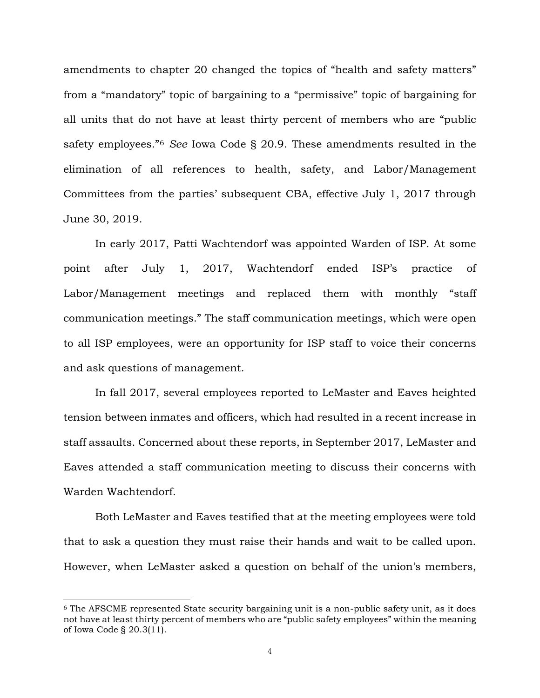amendments to chapter 20 changed the topics of "health and safety matters" from a "mandatory" topic of bargaining to a "permissive" topic of bargaining for all units that do not have at least thirty percent of members who are "public safety employees."[6](#page-7-0) *See* Iowa Code § 20.9. These amendments resulted in the elimination of all references to health, safety, and Labor/Management Committees from the parties' subsequent CBA, effective July 1, 2017 through June 30, 2019.

In early 2017, Patti Wachtendorf was appointed Warden of ISP. At some point after July 1, 2017, Wachtendorf ended ISP's practice of Labor/Management meetings and replaced them with monthly "staff communication meetings." The staff communication meetings, which were open to all ISP employees, were an opportunity for ISP staff to voice their concerns and ask questions of management.

In fall 2017, several employees reported to LeMaster and Eaves heighted tension between inmates and officers, which had resulted in a recent increase in staff assaults. Concerned about these reports, in September 2017, LeMaster and Eaves attended a staff communication meeting to discuss their concerns with Warden Wachtendorf.

Both LeMaster and Eaves testified that at the meeting employees were told that to ask a question they must raise their hands and wait to be called upon. However, when LeMaster asked a question on behalf of the union's members,

<span id="page-7-0"></span>Ξ <sup>6</sup> The AFSCME represented State security bargaining unit is a non-public safety unit, as it does not have at least thirty percent of members who are "public safety employees" within the meaning of Iowa Code § 20.3(11).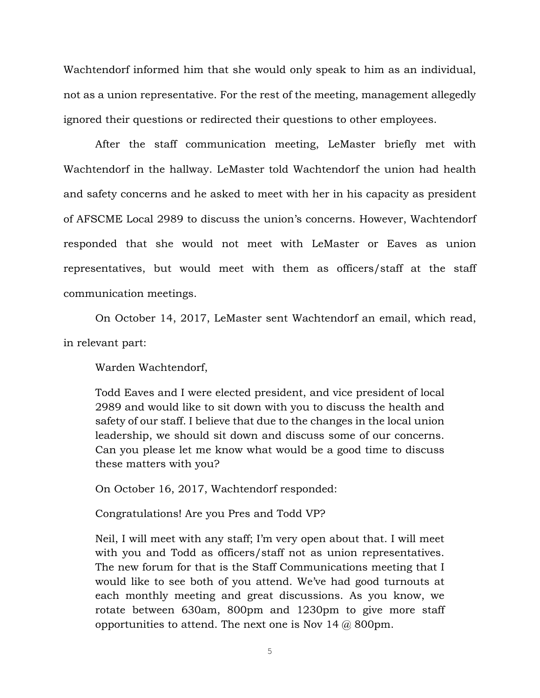Wachtendorf informed him that she would only speak to him as an individual, not as a union representative. For the rest of the meeting, management allegedly ignored their questions or redirected their questions to other employees.

After the staff communication meeting, LeMaster briefly met with Wachtendorf in the hallway. LeMaster told Wachtendorf the union had health and safety concerns and he asked to meet with her in his capacity as president of AFSCME Local 2989 to discuss the union's concerns. However, Wachtendorf responded that she would not meet with LeMaster or Eaves as union representatives, but would meet with them as officers/staff at the staff communication meetings.

On October 14, 2017, LeMaster sent Wachtendorf an email, which read, in relevant part:

Warden Wachtendorf,

Todd Eaves and I were elected president, and vice president of local 2989 and would like to sit down with you to discuss the health and safety of our staff. I believe that due to the changes in the local union leadership, we should sit down and discuss some of our concerns. Can you please let me know what would be a good time to discuss these matters with you?

On October 16, 2017, Wachtendorf responded:

Congratulations! Are you Pres and Todd VP?

Neil, I will meet with any staff; I'm very open about that. I will meet with you and Todd as officers/staff not as union representatives. The new forum for that is the Staff Communications meeting that I would like to see both of you attend. We've had good turnouts at each monthly meeting and great discussions. As you know, we rotate between 630am, 800pm and 1230pm to give more staff opportunities to attend. The next one is Nov 14  $\omega$  800pm.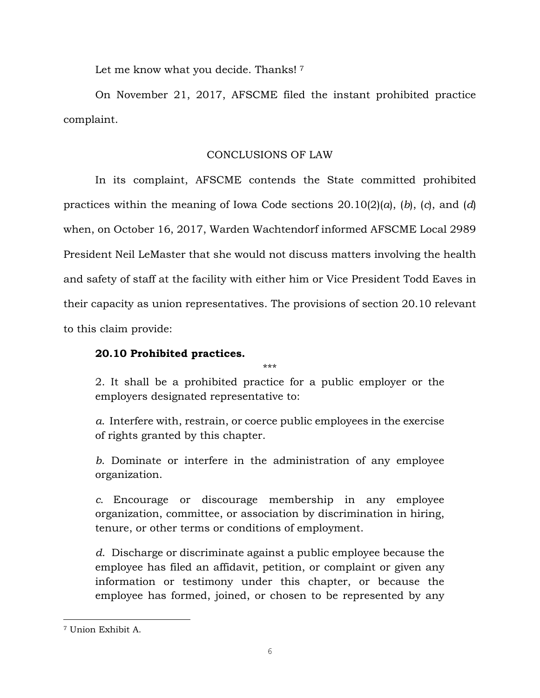Let me know what you decide. Thanks!<sup>[7](#page-9-0)</sup>

On November 21, 2017, AFSCME filed the instant prohibited practice complaint.

# CONCLUSIONS OF LAW

In its complaint, AFSCME contends the State committed prohibited practices within the meaning of Iowa Code sections 20.10(2)(*a*), (*b*), (*c*), and (*d*) when, on October 16, 2017, Warden Wachtendorf informed AFSCME Local 2989 President Neil LeMaster that she would not discuss matters involving the health and safety of staff at the facility with either him or Vice President Todd Eaves in their capacity as union representatives. The provisions of section 20.10 relevant to this claim provide:

# **20.10 Prohibited practices.**

\*\*\*

2. It shall be a prohibited practice for a public employer or the employers designated representative to:

*a*. Interfere with, restrain, or coerce public employees in the exercise of rights granted by this chapter.

*b*. Dominate or interfere in the administration of any employee organization.

*c*. Encourage or discourage membership in any employee organization, committee, or association by discrimination in hiring, tenure, or other terms or conditions of employment.

*d*. Discharge or discriminate against a public employee because the employee has filed an affidavit, petition, or complaint or given any information or testimony under this chapter, or because the employee has formed, joined, or chosen to be represented by any

<span id="page-9-0"></span>Ĩ <sup>7</sup> Union Exhibit A.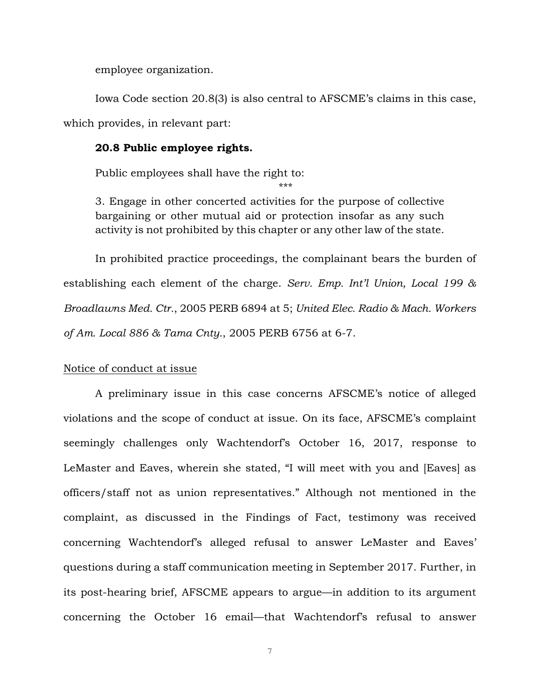employee organization.

Iowa Code section 20.8(3) is also central to AFSCME's claims in this case, which provides, in relevant part:

## **20.8 Public employee rights.**

Public employees shall have the right to: \*\*\*

3. Engage in other concerted activities for the purpose of collective bargaining or other mutual aid or protection insofar as any such activity is not prohibited by this chapter or any other law of the state.

In prohibited practice proceedings, the complainant bears the burden of establishing each element of the charge. *Serv. Emp. Int'l Union, Local 199 & Broadlawns Med. Ctr.*, 2005 PERB 6894 at 5; *United Elec. Radio & Mach. Workers of Am. Local 886 & Tama Cnty.*, 2005 PERB 6756 at 6-7.

## Notice of conduct at issue

A preliminary issue in this case concerns AFSCME's notice of alleged violations and the scope of conduct at issue. On its face, AFSCME's complaint seemingly challenges only Wachtendorf's October 16, 2017, response to LeMaster and Eaves, wherein she stated, "I will meet with you and [Eaves] as officers/staff not as union representatives." Although not mentioned in the complaint, as discussed in the Findings of Fact, testimony was received concerning Wachtendorf's alleged refusal to answer LeMaster and Eaves' questions during a staff communication meeting in September 2017. Further, in its post-hearing brief, AFSCME appears to argue—in addition to its argument concerning the October 16 email—that Wachtendorf's refusal to answer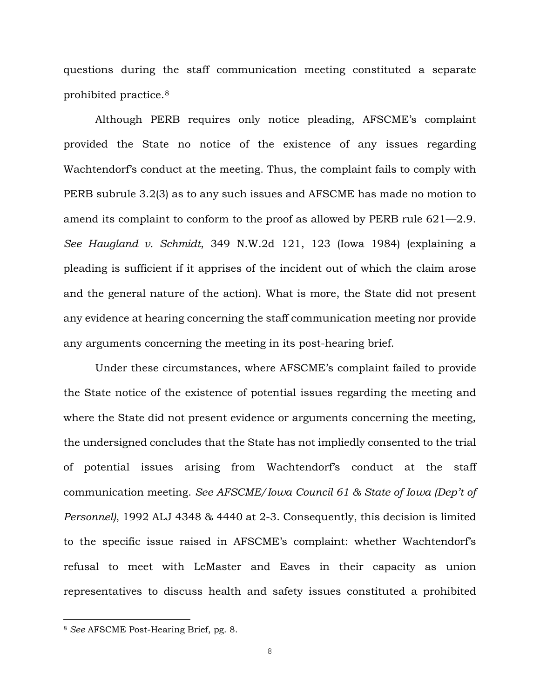questions during the staff communication meeting constituted a separate prohibited practice.[8](#page-11-0)

Although PERB requires only notice pleading, AFSCME's complaint provided the State no notice of the existence of any issues regarding Wachtendorf's conduct at the meeting. Thus, the complaint fails to comply with PERB subrule 3.2(3) as to any such issues and AFSCME has made no motion to amend its complaint to conform to the proof as allowed by PERB rule 621—2.9. *See Haugland v. Schmidt*, 349 N.W.2d 121, 123 (Iowa 1984) (explaining a pleading is sufficient if it apprises of the incident out of which the claim arose and the general nature of the action). What is more, the State did not present any evidence at hearing concerning the staff communication meeting nor provide any arguments concerning the meeting in its post-hearing brief.

Under these circumstances, where AFSCME's complaint failed to provide the State notice of the existence of potential issues regarding the meeting and where the State did not present evidence or arguments concerning the meeting, the undersigned concludes that the State has not impliedly consented to the trial of potential issues arising from Wachtendorf's conduct at the staff communication meeting. *See AFSCME/Iowa Council 61 & State of Iowa (Dep't of Personnel)*, 1992 ALJ 4348 & 4440 at 2-3. Consequently, this decision is limited to the specific issue raised in AFSCME's complaint: whether Wachtendorf's refusal to meet with LeMaster and Eaves in their capacity as union representatives to discuss health and safety issues constituted a prohibited

Ĩ

<span id="page-11-0"></span><sup>8</sup> *See* AFSCME Post-Hearing Brief, pg. 8.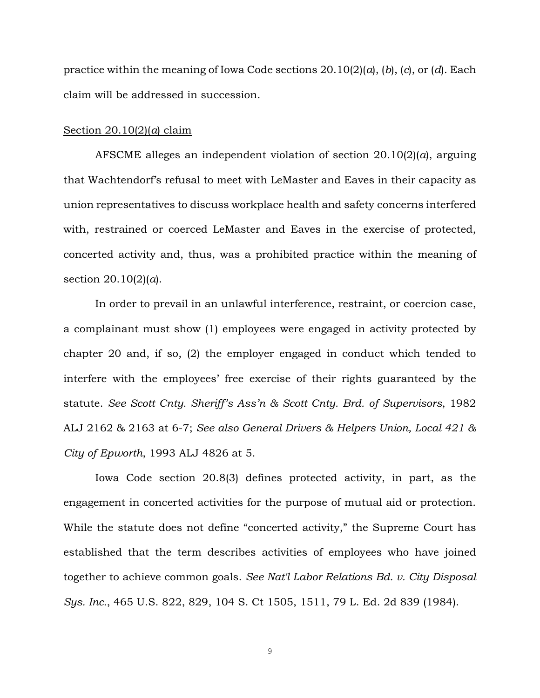practice within the meaning of Iowa Code sections 20.10(2)(*a*), (*b*), (*c*), or (*d*). Each claim will be addressed in succession.

### Section 20.10(2)(*a*) claim

AFSCME alleges an independent violation of section 20.10(2)(*a*), arguing that Wachtendorf's refusal to meet with LeMaster and Eaves in their capacity as union representatives to discuss workplace health and safety concerns interfered with, restrained or coerced LeMaster and Eaves in the exercise of protected, concerted activity and, thus, was a prohibited practice within the meaning of section 20.10(2)(*a*).

In order to prevail in an unlawful interference, restraint, or coercion case, a complainant must show (1) employees were engaged in activity protected by chapter 20 and, if so, (2) the employer engaged in conduct which tended to interfere with the employees' free exercise of their rights guaranteed by the statute. *See Scott Cnty. Sheriff's Ass'n & Scott Cnty. Brd. of Supervisors*, 1982 ALJ 2162 & 2163 at 6-7; *See also General Drivers & Helpers Union, Local 421 & City of Epworth*, 1993 ALJ 4826 at 5.

Iowa Code section 20.8(3) defines protected activity, in part, as the engagement in concerted activities for the purpose of mutual aid or protection. While the statute does not define "concerted activity," the Supreme Court has established that the term describes activities of employees who have joined together to achieve common goals. *See Nat'l Labor Relations Bd. v. City Disposal Sys. Inc.*, 465 U.S. 822, 829, 104 S. Ct 1505, 1511, 79 L. Ed. 2d 839 (1984).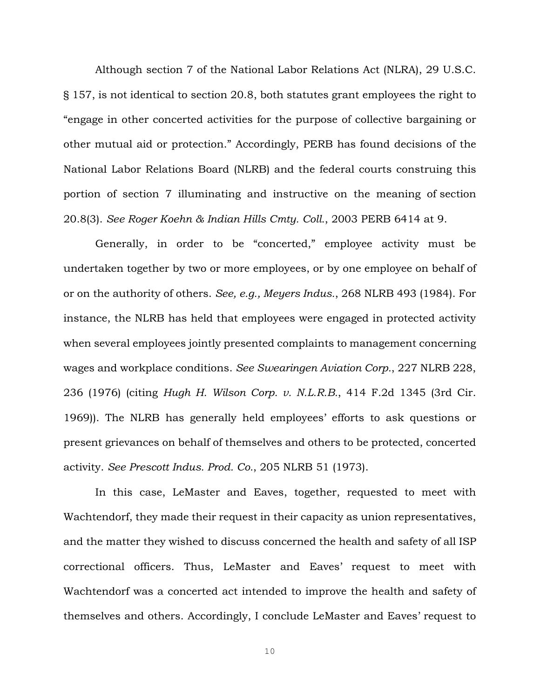Although section 7 of the National Labor Relations Act (NLRA), 29 U.S.C. § 157, is not identical to section 20.8, both statutes grant employees the right to "engage in other concerted activities for the purpose of collective bargaining or other mutual aid or protection." Accordingly, PERB has found decisions of the National Labor Relations Board (NLRB) and the federal courts construing this portion of section 7 illuminating and instructive on the meaning of section 20.8(3). *See Roger Koehn & Indian Hills Cmty. Coll.*, 2003 PERB 6414 at 9.

Generally, in order to be "concerted," employee activity must be undertaken together by two or more employees, or by one employee on behalf of or on the authority of others. *See, e.g., Meyers Indus.*, 268 NLRB 493 (1984). For instance, the NLRB has held that employees were engaged in protected activity when several employees jointly presented complaints to management concerning wages and workplace conditions. *See Swearingen Aviation Corp.*, 227 NLRB 228, 236 (1976) (citing *Hugh H. Wilson Corp. v. N.L.R.B.*, 414 F.2d 1345 (3rd Cir. 1969)). The NLRB has generally held employees' efforts to ask questions or present grievances on behalf of themselves and others to be protected, concerted activity. *See Prescott Indus. Prod. Co.*, 205 NLRB 51 (1973).

In this case, LeMaster and Eaves, together, requested to meet with Wachtendorf, they made their request in their capacity as union representatives, and the matter they wished to discuss concerned the health and safety of all ISP correctional officers. Thus, LeMaster and Eaves' request to meet with Wachtendorf was a concerted act intended to improve the health and safety of themselves and others. Accordingly, I conclude LeMaster and Eaves' request to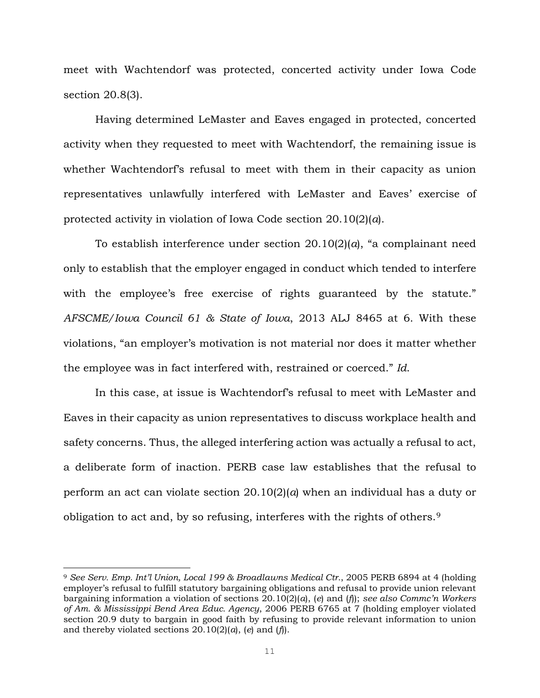meet with Wachtendorf was protected, concerted activity under Iowa Code section 20.8(3).

Having determined LeMaster and Eaves engaged in protected, concerted activity when they requested to meet with Wachtendorf, the remaining issue is whether Wachtendorf's refusal to meet with them in their capacity as union representatives unlawfully interfered with LeMaster and Eaves' exercise of protected activity in violation of Iowa Code section 20.10(2)(*a*).

To establish interference under section  $20.10(2)(a)$ , "a complainant need only to establish that the employer engaged in conduct which tended to interfere with the employee's free exercise of rights guaranteed by the statute." *AFSCME/Iowa Council 61 & State of Iowa*, 2013 ALJ 8465 at 6. With these violations, "an employer's motivation is not material nor does it matter whether the employee was in fact interfered with, restrained or coerced." *Id*.

In this case, at issue is Wachtendorf's refusal to meet with LeMaster and Eaves in their capacity as union representatives to discuss workplace health and safety concerns. Thus, the alleged interfering action was actually a refusal to act, a deliberate form of inaction. PERB case law establishes that the refusal to perform an act can violate section 20.10(2)(*a*) when an individual has a duty or obligation to act and, by so refusing, interferes with the rights of others.[9](#page-14-0)

Ξ

<span id="page-14-0"></span><sup>9</sup> *See Serv. Emp. Int'l Union, Local 199 & Broadlawns Medical Ctr.*, 2005 PERB 6894 at 4 (holding employer's refusal to fulfill statutory bargaining obligations and refusal to provide union relevant bargaining information a violation of sections 20.10(2)(*a*), (*e*) and (*f*)); *see also Commc'n Workers of Am. & Mississippi Bend Area Educ. Agency*, 2006 PERB 6765 at 7 (holding employer violated section 20.9 duty to bargain in good faith by refusing to provide relevant information to union and thereby violated sections 20.10(2)(*a*), (*e*) and (*f*)).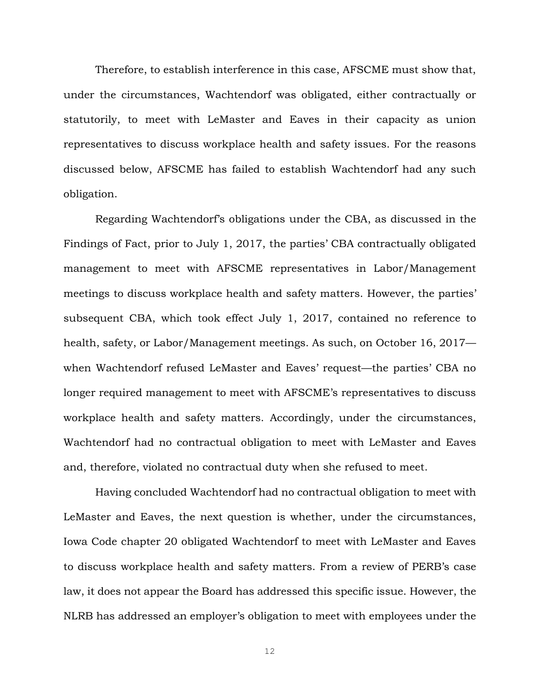Therefore, to establish interference in this case, AFSCME must show that, under the circumstances, Wachtendorf was obligated, either contractually or statutorily, to meet with LeMaster and Eaves in their capacity as union representatives to discuss workplace health and safety issues. For the reasons discussed below, AFSCME has failed to establish Wachtendorf had any such obligation.

Regarding Wachtendorf's obligations under the CBA, as discussed in the Findings of Fact, prior to July 1, 2017, the parties' CBA contractually obligated management to meet with AFSCME representatives in Labor/Management meetings to discuss workplace health and safety matters. However, the parties' subsequent CBA, which took effect July 1, 2017, contained no reference to health, safety, or Labor/Management meetings. As such, on October 16, 2017 when Wachtendorf refused LeMaster and Eaves' request—the parties' CBA no longer required management to meet with AFSCME's representatives to discuss workplace health and safety matters. Accordingly, under the circumstances, Wachtendorf had no contractual obligation to meet with LeMaster and Eaves and, therefore, violated no contractual duty when she refused to meet.

Having concluded Wachtendorf had no contractual obligation to meet with LeMaster and Eaves, the next question is whether, under the circumstances, Iowa Code chapter 20 obligated Wachtendorf to meet with LeMaster and Eaves to discuss workplace health and safety matters. From a review of PERB's case law, it does not appear the Board has addressed this specific issue. However, the NLRB has addressed an employer's obligation to meet with employees under the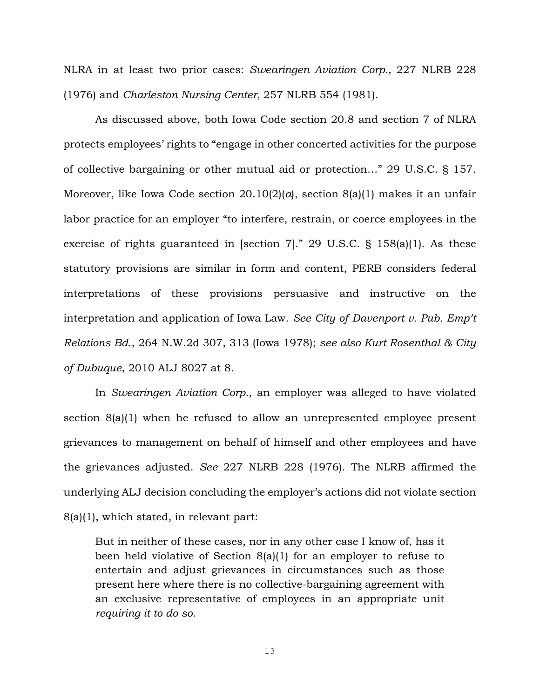NLRA in at least two prior cases: *Swearingen Aviation Corp.,* 227 NLRB 228 (1976) and *Charleston Nursing Center,* 257 NLRB 554 (1981).

As discussed above, both Iowa Code section 20.8 and section 7 of NLRA protects employees' rights to "engage in other concerted activities for the purpose of collective bargaining or other mutual aid or protection…" 29 U.S.C. § 157. Moreover, like Iowa Code section 20.10(2)(*a*), section 8(a)(1) makes it an unfair labor practice for an employer "to interfere, restrain, or coerce employees in the exercise of rights guaranteed in [section 7]." 29 U.S.C. § 158(a)(1). As these statutory provisions are similar in form and content, PERB considers federal interpretations of these provisions persuasive and instructive on the interpretation and application of Iowa Law. *See City of Davenport v. Pub. Emp't Relations Bd.*, 264 N.W.2d 307, 313 (Iowa 1978); *see also Kurt Rosenthal & City of Dubuque*, 2010 ALJ 8027 at 8.

In *Swearingen Aviation Corp.*, an employer was alleged to have violated section 8(a)(1) when he refused to allow an unrepresented employee present grievances to management on behalf of himself and other employees and have the grievances adjusted. *See* 227 NLRB 228 (1976). The NLRB affirmed the underlying ALJ decision concluding the employer's actions did not violate section 8(a)(1), which stated, in relevant part:

But in neither of these cases, nor in any other case I know of, has it been held violative of Section 8(a)(1) for an employer to refuse to entertain and adjust grievances in circumstances such as those present here where there is no collective-bargaining agreement with an exclusive representative of employees in an appropriate unit *requiring it to do so*.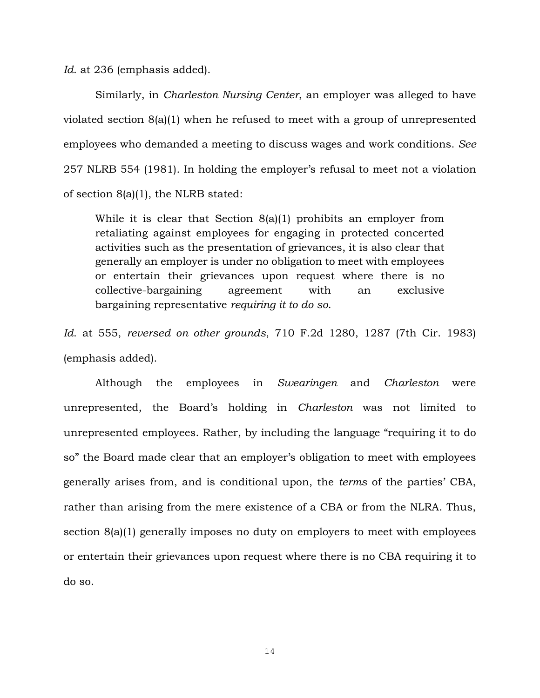*Id*. at 236 (emphasis added).

Similarly, in *Charleston Nursing Center*, an employer was alleged to have violated section 8(a)(1) when he refused to meet with a group of unrepresented employees who demanded a meeting to discuss wages and work conditions. *See* 257 NLRB 554 (1981). In holding the employer's refusal to meet not a violation of section 8(a)(1), the NLRB stated:

While it is clear that Section 8(a)(1) prohibits an employer from retaliating against employees for engaging in protected concerted activities such as the presentation of grievances, it is also clear that generally an employer is under no obligation to meet with employees or entertain their grievances upon request where there is no collective-bargaining agreement with an exclusive bargaining representative *requiring it to do so*.

*Id*. at 555, *reversed on other grounds*, 710 F.2d 1280, 1287 (7th Cir. 1983) (emphasis added).

Although the employees in *Swearingen* and *Charleston* were unrepresented, the Board's holding in *Charleston* was not limited to unrepresented employees. Rather, by including the language "requiring it to do so" the Board made clear that an employer's obligation to meet with employees generally arises from, and is conditional upon, the *terms* of the parties' CBA, rather than arising from the mere existence of a CBA or from the NLRA. Thus, section 8(a)(1) generally imposes no duty on employers to meet with employees or entertain their grievances upon request where there is no CBA requiring it to do so.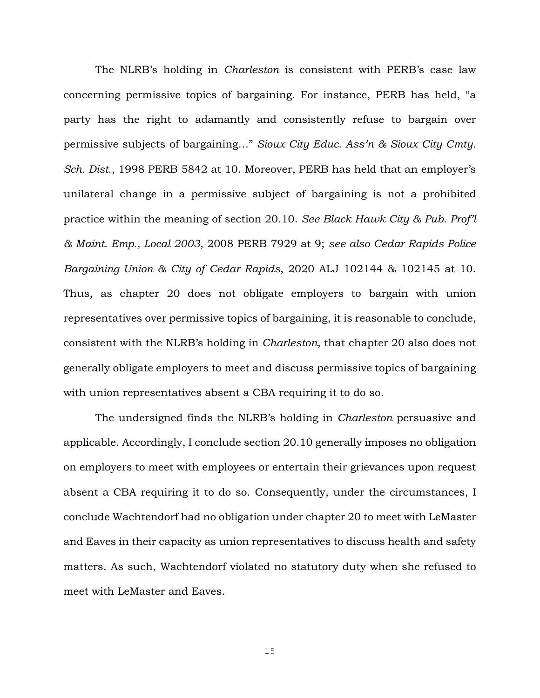The NLRB's holding in *Charleston* is consistent with PERB's case law concerning permissive topics of bargaining. For instance, PERB has held, "a party has the right to adamantly and consistently refuse to bargain over permissive subjects of bargaining…" *Sioux City Educ. Ass'n & Sioux City Cmty. Sch. Dist.*, 1998 PERB 5842 at 10. Moreover, PERB has held that an employer's unilateral change in a permissive subject of bargaining is not a prohibited practice within the meaning of section 20.10. *See Black Hawk City & Pub. Prof'l & Maint. Emp., Local 2003*, 2008 PERB 7929 at 9; *see also Cedar Rapids Police Bargaining Union & City of Cedar Rapids*, 2020 ALJ 102144 & 102145 at 10. Thus, as chapter 20 does not obligate employers to bargain with union representatives over permissive topics of bargaining, it is reasonable to conclude, consistent with the NLRB's holding in *Charleston*, that chapter 20 also does not generally obligate employers to meet and discuss permissive topics of bargaining with union representatives absent a CBA requiring it to do so.

The undersigned finds the NLRB's holding in *Charleston* persuasive and applicable. Accordingly, I conclude section 20.10 generally imposes no obligation on employers to meet with employees or entertain their grievances upon request absent a CBA requiring it to do so. Consequently, under the circumstances, I conclude Wachtendorf had no obligation under chapter 20 to meet with LeMaster and Eaves in their capacity as union representatives to discuss health and safety matters. As such, Wachtendorf violated no statutory duty when she refused to meet with LeMaster and Eaves.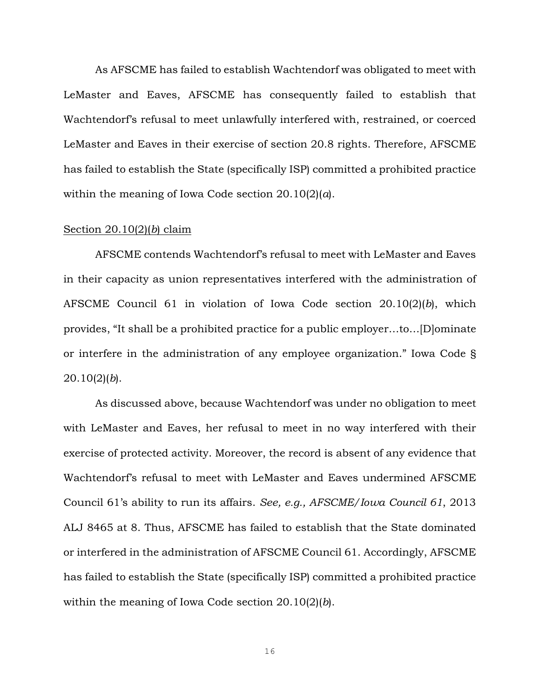As AFSCME has failed to establish Wachtendorf was obligated to meet with LeMaster and Eaves, AFSCME has consequently failed to establish that Wachtendorf's refusal to meet unlawfully interfered with, restrained, or coerced LeMaster and Eaves in their exercise of section 20.8 rights. Therefore, AFSCME has failed to establish the State (specifically ISP) committed a prohibited practice within the meaning of Iowa Code section 20.10(2)(*a*).

### Section 20.10(2)(*b*) claim

AFSCME contends Wachtendorf's refusal to meet with LeMaster and Eaves in their capacity as union representatives interfered with the administration of AFSCME Council 61 in violation of Iowa Code section 20.10(2)(*b*), which provides, "It shall be a prohibited practice for a public employer…to…[D]ominate or interfere in the administration of any employee organization." Iowa Code § 20.10(2)(*b*).

As discussed above, because Wachtendorf was under no obligation to meet with LeMaster and Eaves, her refusal to meet in no way interfered with their exercise of protected activity. Moreover, the record is absent of any evidence that Wachtendorf's refusal to meet with LeMaster and Eaves undermined AFSCME Council 61's ability to run its affairs. *See, e.g., AFSCME/Iowa Council 61*, 2013 ALJ 8465 at 8. Thus, AFSCME has failed to establish that the State dominated or interfered in the administration of AFSCME Council 61. Accordingly, AFSCME has failed to establish the State (specifically ISP) committed a prohibited practice within the meaning of Iowa Code section 20.10(2)(*b*).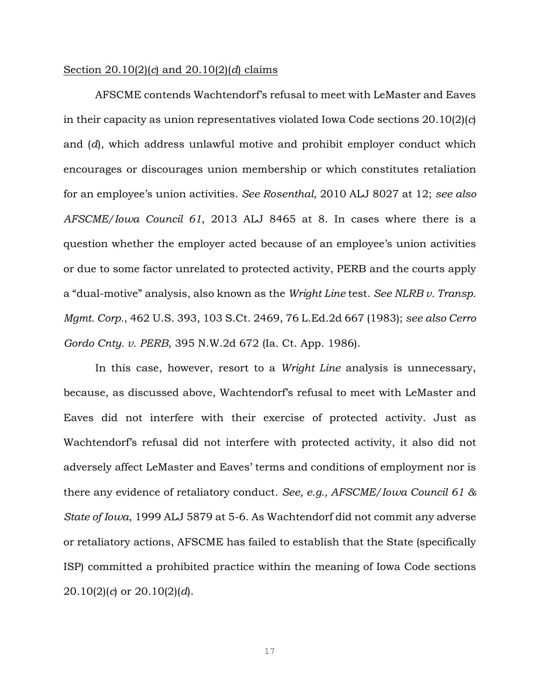### Section 20.10(2)(*c*) and 20.10(2)(*d*) claims

AFSCME contends Wachtendorf's refusal to meet with LeMaster and Eaves in their capacity as union representatives violated Iowa Code sections 20.10(2)(*c*) and (*d*), which address unlawful motive and prohibit employer conduct which encourages or discourages union membership or which constitutes retaliation for an employee's union activities. *See Rosenthal*, 2010 ALJ 8027 at 12; *see also AFSCME/Iowa Council 61*, 2013 ALJ 8465 at 8. In cases where there is a question whether the employer acted because of an employee's union activities or due to some factor unrelated to protected activity, PERB and the courts apply a "dual-motive" analysis, also known as the *Wright Line* test. *See NLRB v. Transp. Mgmt. Corp.*, 462 U.S. 393, 103 S.Ct. 2469, 76 L.Ed.2d 667 (1983); *see also Cerro Gordo Cnty. v. PERB*, 395 N.W.2d 672 (Ia. Ct. App. 1986).

In this case, however, resort to a *Wright Line* analysis is unnecessary, because, as discussed above, Wachtendorf's refusal to meet with LeMaster and Eaves did not interfere with their exercise of protected activity. Just as Wachtendorf's refusal did not interfere with protected activity, it also did not adversely affect LeMaster and Eaves' terms and conditions of employment nor is there any evidence of retaliatory conduct. *See, e.g., AFSCME/Iowa Council 61 & State of Iowa*, 1999 ALJ 5879 at 5-6. As Wachtendorf did not commit any adverse or retaliatory actions, AFSCME has failed to establish that the State (specifically ISP) committed a prohibited practice within the meaning of Iowa Code sections 20.10(2)(*c*) or 20.10(2)(*d*).